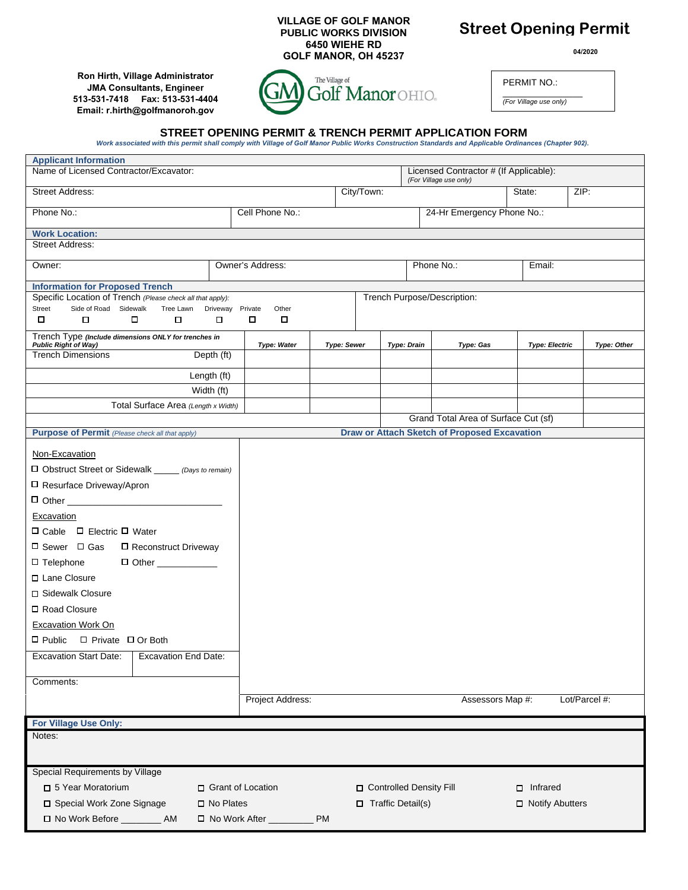**VILLAGE OF GOLF MANOR PUBLIC WORKS DIVISION 6450 WIEHE RD GOLF MANOR, OH 45237**

## **Street Opening Permit**

**04/2020**

**Ron Hirth, Village Administrator JMA Consultants, Engineer 513-531-7418 Fax: 513-531-4404 Email: r.hirth@golfmanoroh.gov**



\_\_\_\_\_\_\_\_\_\_\_\_\_\_\_\_ *(For Village use only)*

PERMIT NO.:

# STREET OPENING PERMIT & TRENCH PERMIT APPLICATION FORM<br>Work associated with this permit shall comply with Village of Golf Manor Public Works Construction Standards and Applicable Ordinances (Chapter 902).

| <b>Applicant Information</b>                                                                                                                                                                                                                                                                                                                                                                                                                      |                                                                  |                      |                           |                                                     |                       |                    |  |  |
|---------------------------------------------------------------------------------------------------------------------------------------------------------------------------------------------------------------------------------------------------------------------------------------------------------------------------------------------------------------------------------------------------------------------------------------------------|------------------------------------------------------------------|----------------------|---------------------------|-----------------------------------------------------|-----------------------|--------------------|--|--|
| Name of Licensed Contractor/Excavator:                                                                                                                                                                                                                                                                                                                                                                                                            | Licensed Contractor # (If Applicable):<br>(For Village use only) |                      |                           |                                                     |                       |                    |  |  |
| <b>Street Address:</b>                                                                                                                                                                                                                                                                                                                                                                                                                            |                                                                  | City/Town:           |                           | State:                                              | ZIP:                  |                    |  |  |
| Phone No.:                                                                                                                                                                                                                                                                                                                                                                                                                                        | Cell Phone No.:                                                  |                      |                           | 24-Hr Emergency Phone No.:                          |                       |                    |  |  |
| <b>Work Location:</b>                                                                                                                                                                                                                                                                                                                                                                                                                             |                                                                  |                      |                           |                                                     |                       |                    |  |  |
| Street Address:                                                                                                                                                                                                                                                                                                                                                                                                                                   |                                                                  |                      |                           |                                                     |                       |                    |  |  |
| Owner:                                                                                                                                                                                                                                                                                                                                                                                                                                            | Owner's Address:                                                 | Phone No.:<br>Email: |                           |                                                     |                       |                    |  |  |
| <b>Information for Proposed Trench</b>                                                                                                                                                                                                                                                                                                                                                                                                            |                                                                  |                      |                           |                                                     |                       |                    |  |  |
| Specific Location of Trench (Please check all that apply):                                                                                                                                                                                                                                                                                                                                                                                        |                                                                  |                      |                           | Trench Purpose/Description:                         |                       |                    |  |  |
| <b>Street</b><br>Side of Road Sidewalk<br>Tree Lawn Driveway                                                                                                                                                                                                                                                                                                                                                                                      | Other<br>Private                                                 |                      |                           |                                                     |                       |                    |  |  |
| о<br>□<br>□<br>□                                                                                                                                                                                                                                                                                                                                                                                                                                  | □<br>0                                                           |                      |                           |                                                     |                       |                    |  |  |
| Trench Type (Include dimensions ONLY for trenches in<br><b>Public Right of Way)</b>                                                                                                                                                                                                                                                                                                                                                               | <b>Type: Water</b>                                               | <b>Type: Sewer</b>   | <b>Type: Drain</b>        | Type: Gas                                           | <b>Type: Electric</b> | <b>Type: Other</b> |  |  |
| <b>Trench Dimensions</b><br>Depth (ft)                                                                                                                                                                                                                                                                                                                                                                                                            |                                                                  |                      |                           |                                                     |                       |                    |  |  |
| Length (ft)                                                                                                                                                                                                                                                                                                                                                                                                                                       |                                                                  |                      |                           |                                                     |                       |                    |  |  |
| Width (ft)                                                                                                                                                                                                                                                                                                                                                                                                                                        |                                                                  |                      |                           |                                                     |                       |                    |  |  |
| Total Surface Area (Length x Width)                                                                                                                                                                                                                                                                                                                                                                                                               |                                                                  |                      |                           |                                                     |                       |                    |  |  |
|                                                                                                                                                                                                                                                                                                                                                                                                                                                   |                                                                  |                      |                           | Grand Total Area of Surface Cut (sf)                |                       |                    |  |  |
| <b>Purpose of Permit</b> (Please check all that apply)                                                                                                                                                                                                                                                                                                                                                                                            |                                                                  |                      |                           | <b>Draw or Attach Sketch of Proposed Excavation</b> |                       |                    |  |  |
| Non-Excavation<br>□ Obstruct Street or Sidewalk _____ (Days to remain)<br>□ Resurface Driveway/Apron<br>Excavation<br>$\Box$ Cable $\Box$ Electric $\Box$ Water<br>□ Sewer □ Gas<br>□ Reconstruct Driveway<br>$\Box$ Telephone<br>□ Lane Closure<br>□ Sidewalk Closure<br>□ Road Closure<br><b>Excavation Work On</b><br>$\Box$ Public $\Box$ Private $\Box$ Or Both<br><b>Excavation Start Date:</b><br><b>Excavation End Date:</b><br>Comments: |                                                                  |                      |                           |                                                     |                       |                    |  |  |
|                                                                                                                                                                                                                                                                                                                                                                                                                                                   | Project Address:                                                 |                      |                           | Assessors Map #:                                    |                       | Lot/Parcel #:      |  |  |
| For Village Use Only:                                                                                                                                                                                                                                                                                                                                                                                                                             |                                                                  |                      |                           |                                                     |                       |                    |  |  |
| Notes:                                                                                                                                                                                                                                                                                                                                                                                                                                            |                                                                  |                      |                           |                                                     |                       |                    |  |  |
| Special Requirements by Village                                                                                                                                                                                                                                                                                                                                                                                                                   |                                                                  |                      |                           |                                                     |                       |                    |  |  |
| □ 5 Year Moratorium                                                                                                                                                                                                                                                                                                                                                                                                                               | □ Grant of Location                                              |                      | □ Controlled Density Fill |                                                     | $\Box$ Infrared       |                    |  |  |
|                                                                                                                                                                                                                                                                                                                                                                                                                                                   |                                                                  |                      |                           |                                                     |                       |                    |  |  |
| □ Special Work Zone Signage<br>$\square$ No Plates<br>$\Box$ Traffic Detail(s)<br>□ Notify Abutters<br>□ No Work Before _________ AM<br>□ No Work After ___<br><b>PM</b>                                                                                                                                                                                                                                                                          |                                                                  |                      |                           |                                                     |                       |                    |  |  |